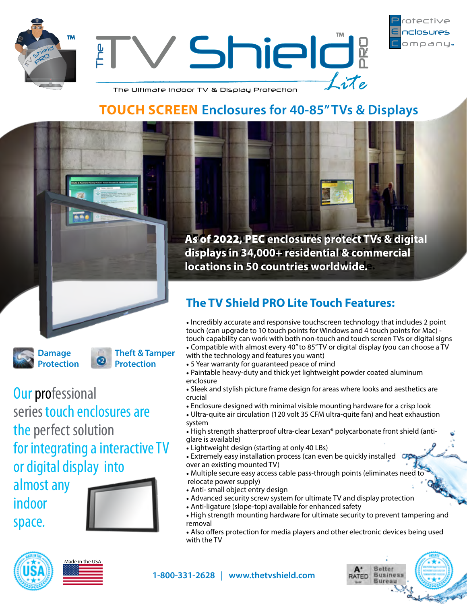



The Ultimate Indoor TV & Display Protection

# **TOUCH SCREEN Enclosures for 40-85" TVs & Displays**



**Damage Protection** **Theft & Tamper Protection**

**Our professional** series touch enclosures are the perfect solution for integrating a interactive TV or digital display into

almost any indoor space.



As of 2022, PEC enclosures protect TVs & digital **in 25,000+/- residential & commercial displays in 34,000+ residential & commercial locations in 42+ countries worldwide. locations in 50 countries worldwide.**

 $\perp$ ite

## **The TV Shield PRO Lite Touch Features:**

• Incredibly accurate and responsive touchscreen technology that includes 2 point touch (can upgrade to 10 touch points for Windows and 4 touch points for Mac) touch capability can work with both non-touch and touch screen TVs or digital signs

• Compatible with almost every 40" to 85" TV or digital display (you can choose a TV with the technology and features you want)

- 5 Year warranty for guaranteed peace of mind
- Paintable heavy-duty and thick yet lightweight powder coated aluminum enclosure
- Sleek and stylish picture frame design for areas where looks and aesthetics are crucial
- Enclosure designed with minimal visible mounting hardware for a crisp look
- Ultra-quite air circulation (120 volt 35 CFM ultra-quite fan) and heat exhaustion system
- High strength shatterproof ultra-clear Lexan® polycarbonate front shield (antiglare is available)
- Lightweight design (starting at only 40 LBs)
- Extremely easy installation process (can even be quickly installed over an existing mounted TV)
- Multiple secure easy access cable pass-through points (eliminates need to relocate power supply)
- Anti- small object entry design
- Advanced security screw system for ultimate TV and display protection
- Anti-ligature (slope-top) available for enhanced safety
- High strength mounting hardware for ultimate security to prevent tampering and removal
- Also offers protection for media players and other electronic devices being used with the TV